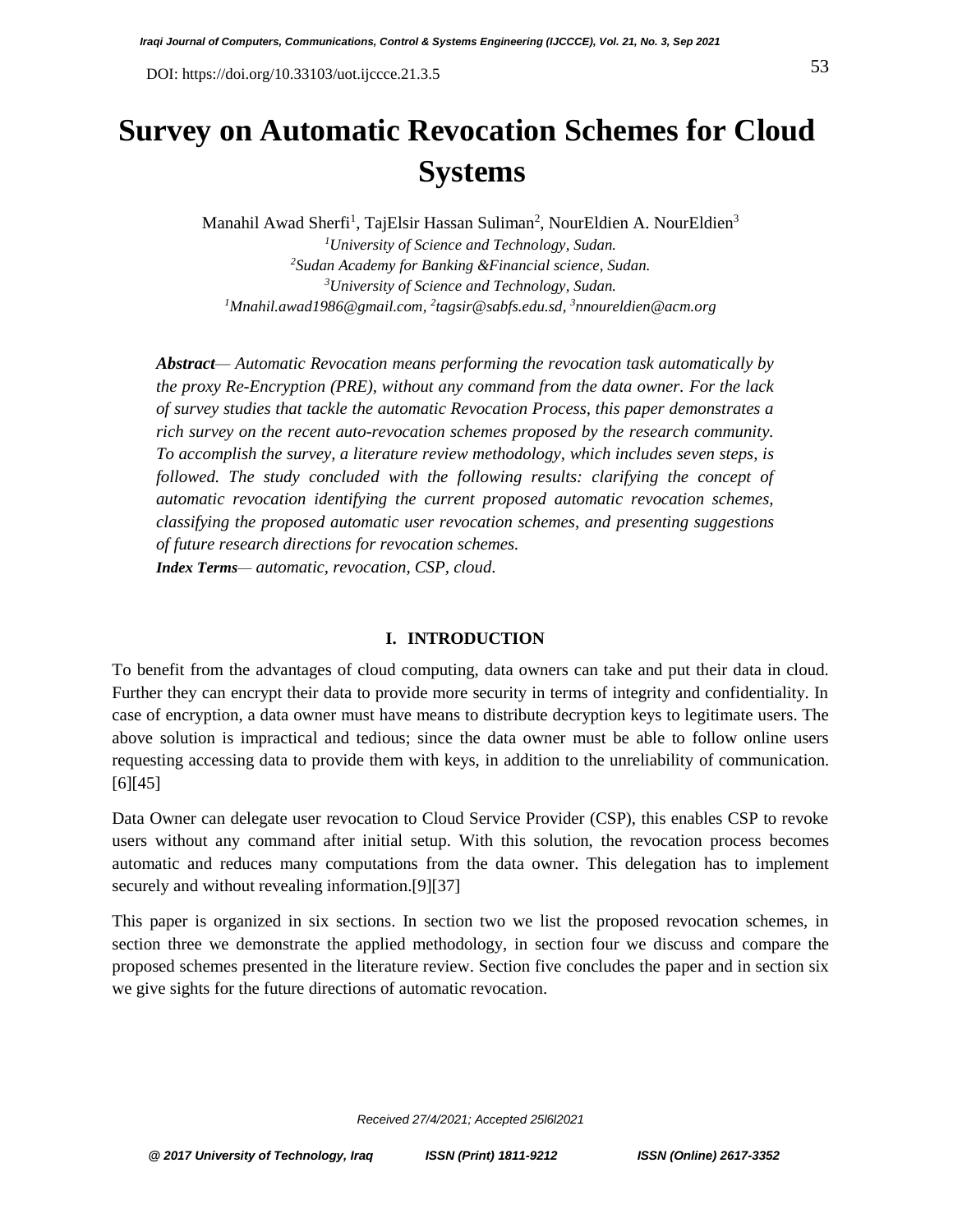# **Survey on Automatic Revocation Schemes for Cloud Systems**

Manahil Awad Sherfi<sup>1</sup>, TajElsir Hassan Suliman<sup>2</sup>, NourEldien A. NourEldien<sup>3</sup> *University of Science and Technology, Sudan. Sudan Academy for Banking &Financial science, Sudan. University of Science and Technology, Sudan. [Mnahil.awad1986@gmail.com,](mailto:Mnahil.awad1986@gmail.com) 2 [tagsir@sabfs.edu.sd,](mailto:tagsir@sabfs.edu.sd) <sup>3</sup>[nnoureldien@acm.org](mailto:nnoureldien@acm.org)*

*Abstract— Automatic Revocation means performing the revocation task automatically by the proxy Re-Encryption (PRE), without any command from the data owner. For the lack of survey studies that tackle the automatic Revocation Process, this paper demonstrates a rich survey on the recent auto-revocation schemes proposed by the research community. To accomplish the survey, a literature review methodology, which includes seven steps, is followed. The study concluded with the following results: clarifying the concept of automatic revocation identifying the current proposed automatic revocation schemes, classifying the proposed automatic user revocation schemes, and presenting suggestions of future research directions for revocation schemes. Index Terms— automatic, revocation, CSP, cloud.*

#### **I. INTRODUCTION**

To benefit from the advantages of cloud computing, data owners can take and put their data in cloud. Further they can encrypt their data to provide more security in terms of integrity and confidentiality. In case of encryption, a data owner must have means to distribute decryption keys to legitimate users. The above solution is impractical and tedious; since the data owner must be able to follow online users requesting accessing data to provide them with keys, in addition to the unreliability of communication.  $[6]$ [45]

Data Owner can delegate user revocation to Cloud Service Provider (CSP), this enables CSP to revoke users without any command after initial setup. With this solution, the revocation process becomes automatic and reduces many computations from the data owner. This delegation has to implement securely and without revealing information.[9][37]

This paper is organized in six sections. In section two we list the proposed revocation schemes, in section three we demonstrate the applied methodology, in section four we discuss and compare the proposed schemes presented in the literature review. Section five concludes the paper and in section six we give sights for the future directions of automatic revocation.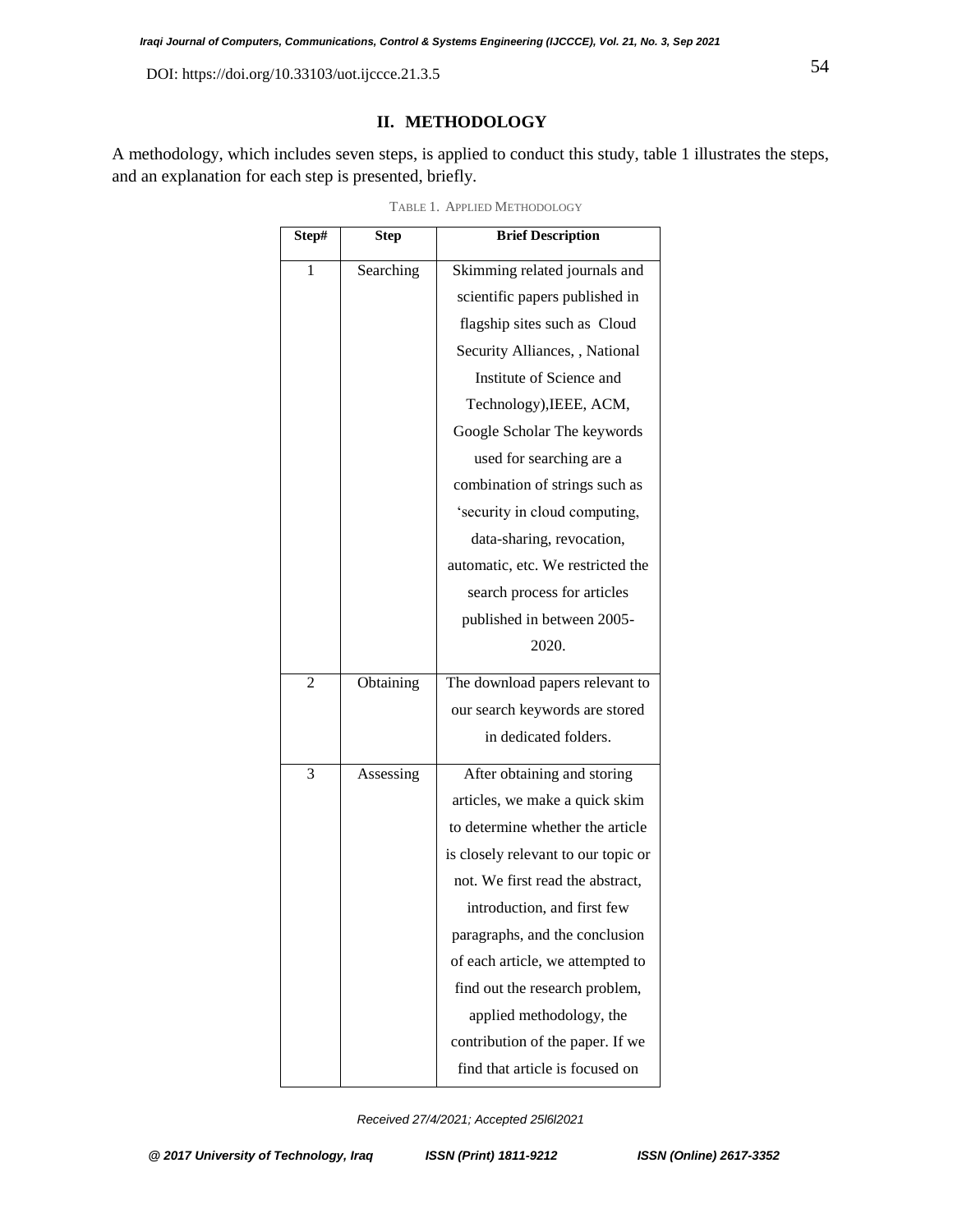# **II. METHODOLOGY**

A methodology, which includes seven steps, is applied to conduct this study, table 1 illustrates the steps, and an explanation for each step is presented, briefly.

| Step# | <b>Step</b> | <b>Brief Description</b>            |
|-------|-------------|-------------------------------------|
| 1     | Searching   | Skimming related journals and       |
|       |             | scientific papers published in      |
|       |             | flagship sites such as Cloud        |
|       |             | Security Alliances, , National      |
|       |             | Institute of Science and            |
|       |             | Technology), IEEE, ACM,             |
|       |             | Google Scholar The keywords         |
|       |             | used for searching are a            |
|       |             | combination of strings such as      |
|       |             | 'security in cloud computing,       |
|       |             | data-sharing, revocation,           |
|       |             | automatic, etc. We restricted the   |
|       |             | search process for articles         |
|       |             | published in between 2005-          |
|       |             | 2020.                               |
| 2     | Obtaining   | The download papers relevant to     |
|       |             | our search keywords are stored      |
|       |             | in dedicated folders.               |
| 3     | Assessing   | After obtaining and storing         |
|       |             | articles, we make a quick skim      |
|       |             | to determine whether the article    |
|       |             | is closely relevant to our topic or |
|       |             | not. We first read the abstract,    |
|       |             | introduction, and first few         |
|       |             | paragraphs, and the conclusion      |
|       |             | of each article, we attempted to    |
|       |             | find out the research problem,      |
|       |             | applied methodology, the            |
|       |             | contribution of the paper. If we    |
|       |             | find that article is focused on     |

TABLE 1. APPLIED METHODOLOGY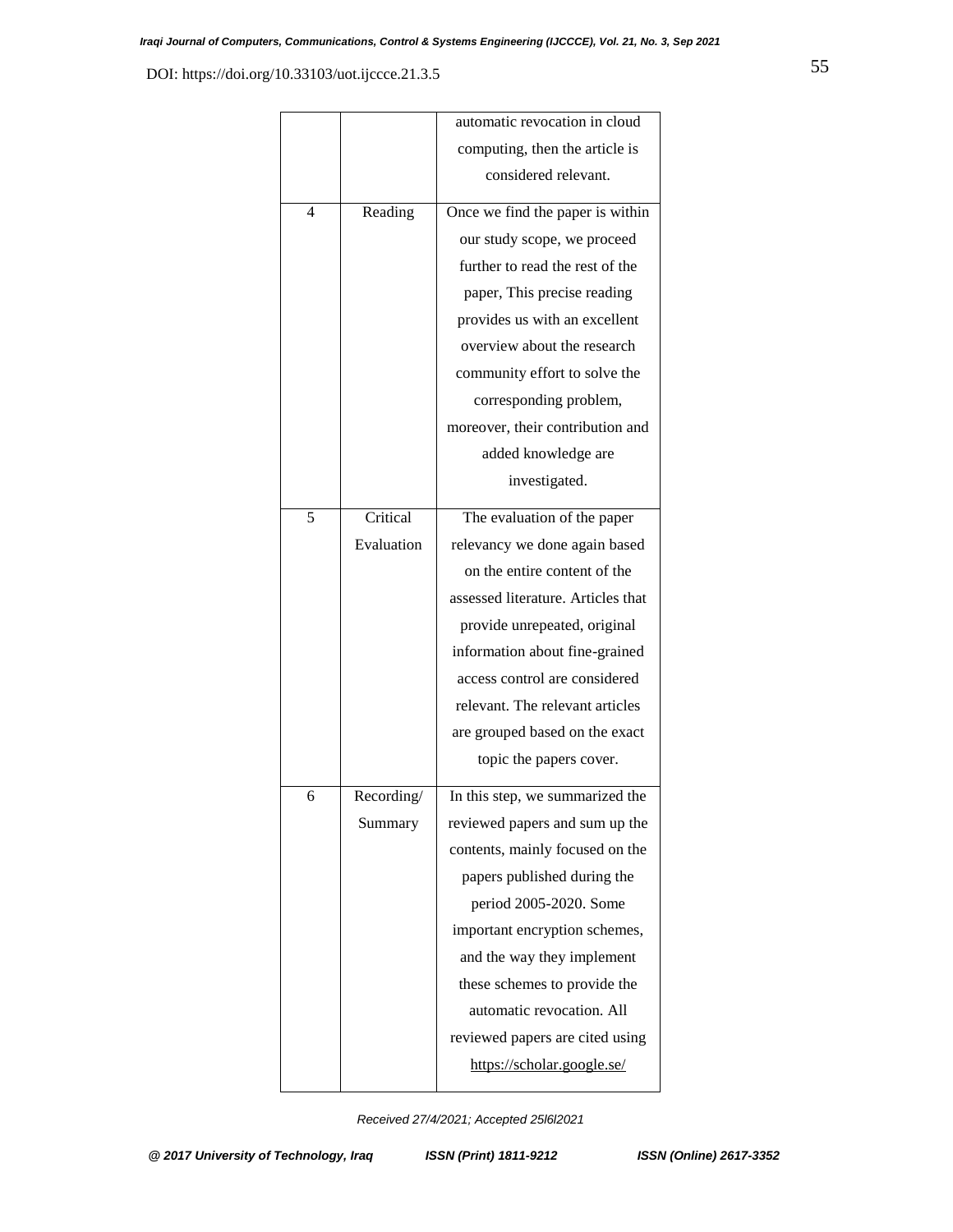|   |            | automatic revocation in cloud      |
|---|------------|------------------------------------|
|   |            | computing, then the article is     |
|   |            | considered relevant.               |
| 4 | Reading    | Once we find the paper is within   |
|   |            | our study scope, we proceed        |
|   |            | further to read the rest of the    |
|   |            | paper, This precise reading        |
|   |            | provides us with an excellent      |
|   |            | overview about the research        |
|   |            | community effort to solve the      |
|   |            | corresponding problem,             |
|   |            | moreover, their contribution and   |
|   |            | added knowledge are                |
|   |            | investigated.                      |
| 5 | Critical   | The evaluation of the paper        |
|   | Evaluation | relevancy we done again based      |
|   |            | on the entire content of the       |
|   |            | assessed literature. Articles that |
|   |            | provide unrepeated, original       |
|   |            | information about fine-grained     |
|   |            | access control are considered      |
|   |            | relevant. The relevant articles    |
|   |            | are grouped based on the exact     |
|   |            | topic the papers cover.            |
| 6 | Recording/ | In this step, we summarized the    |
|   | Summary    | reviewed papers and sum up the     |
|   |            | contents, mainly focused on the    |
|   |            | papers published during the        |
|   |            | period 2005-2020. Some             |
|   |            | important encryption schemes,      |
|   |            | and the way they implement         |
|   |            | these schemes to provide the       |
|   |            | automatic revocation. All          |
|   |            | reviewed papers are cited using    |
|   |            | https://scholar.google.se/         |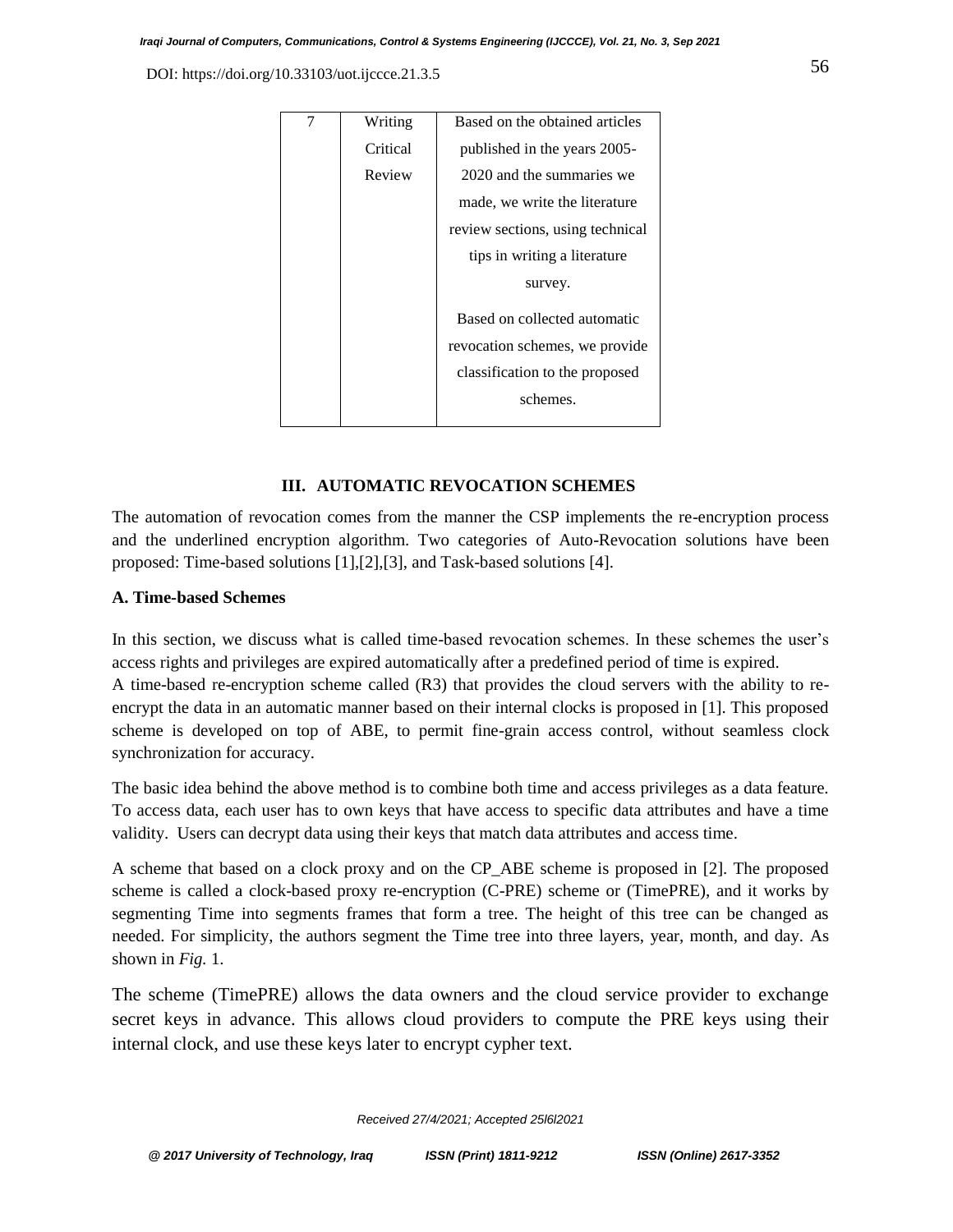| Writing  | Based on the obtained articles   |
|----------|----------------------------------|
| Critical | published in the years 2005-     |
| Review   | 2020 and the summaries we        |
|          | made, we write the literature    |
|          | review sections, using technical |
|          | tips in writing a literature     |
|          | survey.                          |
|          | Based on collected automatic     |
|          | revocation schemes, we provide   |
|          | classification to the proposed   |
|          | schemes.                         |
|          |                                  |

## **III. AUTOMATIC REVOCATION SCHEMES**

The automation of revocation comes from the manner the CSP implements the re-encryption process and the underlined encryption algorithm. Two categories of Auto-Revocation solutions have been proposed: Time-based solutions [1],[2],[3], and Task-based solutions [4].

# **A. Time-based Schemes**

In this section, we discuss what is called time-based revocation schemes. In these schemes the user's access rights and privileges are expired automatically after a predefined period of time is expired. A time-based re-encryption scheme called (R3) that provides the cloud servers with the ability to reencrypt the data in an automatic manner based on their internal clocks is proposed in [1]. This proposed scheme is developed on top of ABE, to permit fine-grain access control, without seamless clock synchronization for accuracy.

The basic idea behind the above method is to combine both time and access privileges as a data feature. To access data, each user has to own keys that have access to specific data attributes and have a time validity. Users can decrypt data using their keys that match data attributes and access time.

A scheme that based on a clock proxy and on the CP\_ABE scheme is proposed in [2]. The proposed scheme is called a clock-based proxy re-encryption (C-PRE) scheme or (TimePRE), and it works by segmenting Time into segments frames that form a tree. The height of this tree can be changed as needed. For simplicity, the authors segment the Time tree into three layers, year, month, and day. As shown in *Fig.* 1.

The scheme (TimePRE) allows the data owners and the cloud service provider to exchange secret keys in advance. This allows cloud providers to compute the PRE keys using their internal clock, and use these keys later to encrypt cypher text.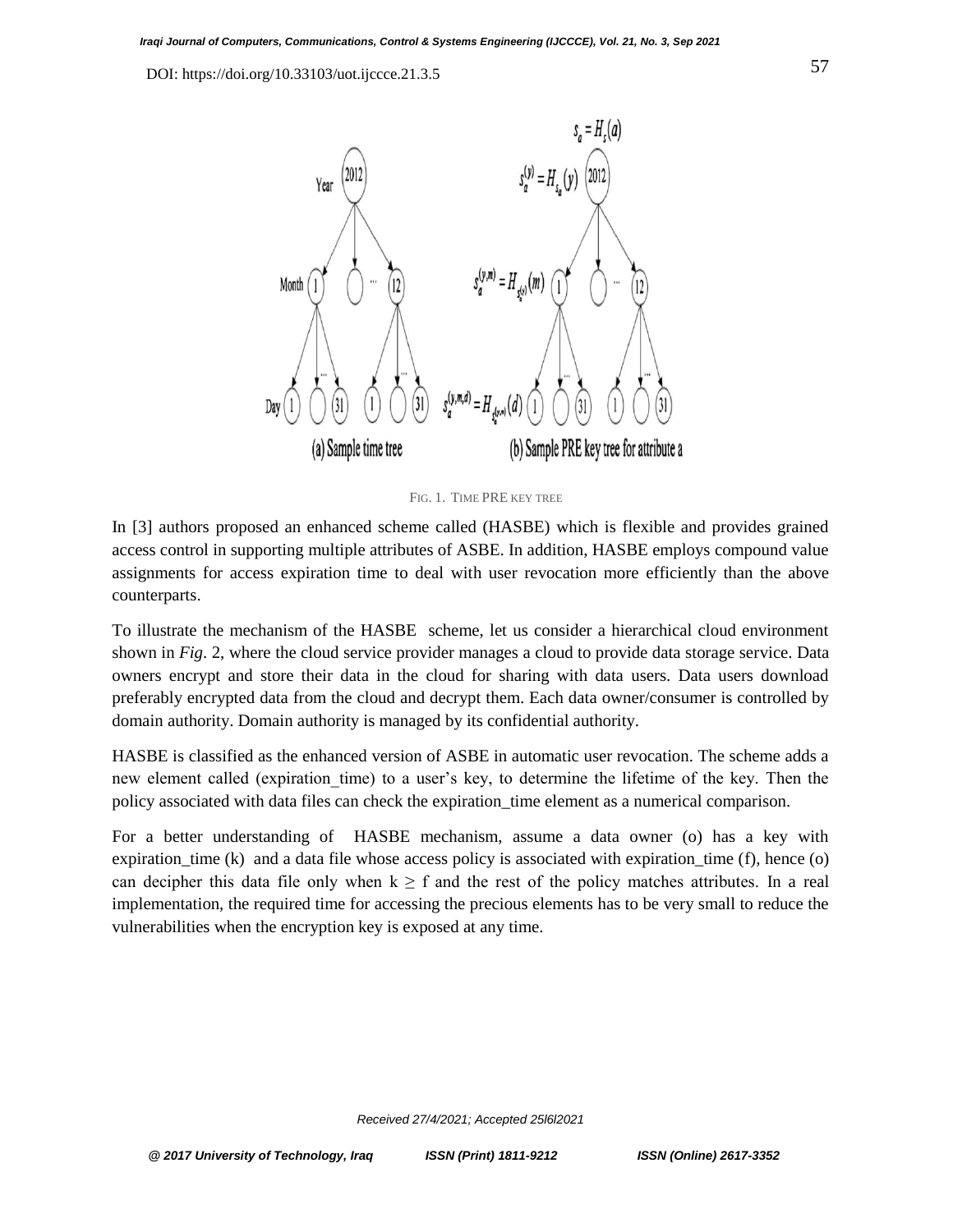

FIG. 1. TIME PRE KEY TREE

In [3] authors proposed an enhanced scheme called (HASBE) which is flexible and provides grained access control in supporting multiple attributes of ASBE. In addition, HASBE employs compound value assignments for access expiration time to deal with user revocation more efficiently than the above counterparts.

To illustrate the mechanism of the HASBE scheme, let us consider a hierarchical cloud environment shown in *Fig*. 2, where the cloud service provider manages a cloud to provide data storage service. Data owners encrypt and store their data in the cloud for sharing with data users. Data users download preferably encrypted data from the cloud and decrypt them. Each data owner/consumer is controlled by domain authority. Domain authority is managed by its confidential authority.

HASBE is classified as the enhanced version of ASBE in automatic user revocation. The scheme adds a new element called (expiration time) to a user's key, to determine the lifetime of the key. Then the policy associated with data files can check the expiration\_time element as a numerical comparison.

For a better understanding of HASBE mechanism, assume a data owner (o) has a key with expiration\_time (k) and a data file whose access policy is associated with expiration\_time (f), hence (o) can decipher this data file only when  $k \geq f$  and the rest of the policy matches attributes. In a real implementation, the required time for accessing the precious elements has to be very small to reduce the vulnerabilities when the encryption key is exposed at any time.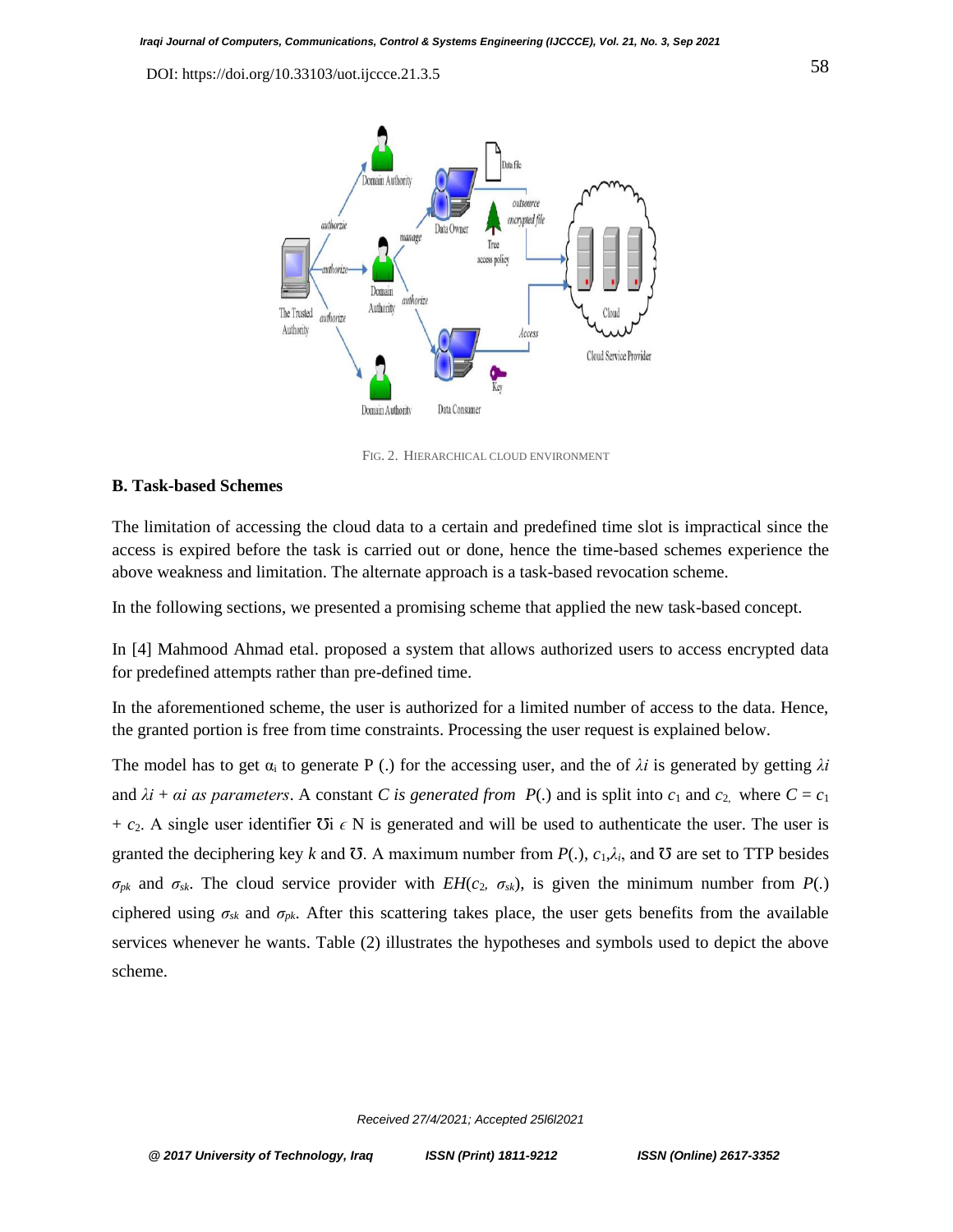

FIG. 2. HIERARCHICAL CLOUD ENVIRONMENT

## **B. Task-based Schemes**

The limitation of accessing the cloud data to a certain and predefined time slot is impractical since the access is expired before the task is carried out or done, hence the time-based schemes experience the above weakness and limitation. The alternate approach is a task-based revocation scheme.

In the following sections, we presented a promising scheme that applied the new task-based concept.

In [4] Mahmood Ahmad etal. proposed a system that allows authorized users to access encrypted data for predefined attempts rather than pre-defined time.

In the aforementioned scheme, the user is authorized for a limited number of access to the data. Hence, the granted portion is free from time constraints. Processing the user request is explained below.

The model has to get  $\alpha_i$  to generate P (.) for the accessing user, and the of  $\lambda i$  is generated by getting  $\lambda i$ and  $\lambda i$  +  $\alpha i$  as parameters. A constant *C* is generated from  $P(.)$  and is split into  $c_1$  and  $c_2$ , where  $C = c_1$  $+ c_2$ . A single user identifier  $\overline{O}i \in N$  is generated and will be used to authenticate the user. The user is granted the deciphering key *k* and  $\sigma$ . A maximum number from  $P(.)$ ,  $c_1, \lambda_i$ , and  $\sigma$  are set to TTP besides  $\sigma_{pk}$  and  $\sigma_{sk}$ . The cloud service provider with *EH(c<sub>2</sub>,*  $\sigma_{sk}$ *)*, is given the minimum number from *P(.)* ciphered using  $\sigma_{sk}$  and  $\sigma_{pk}$ . After this scattering takes place, the user gets benefits from the available services whenever he wants. Table (2) illustrates the hypotheses and symbols used to depict the above scheme.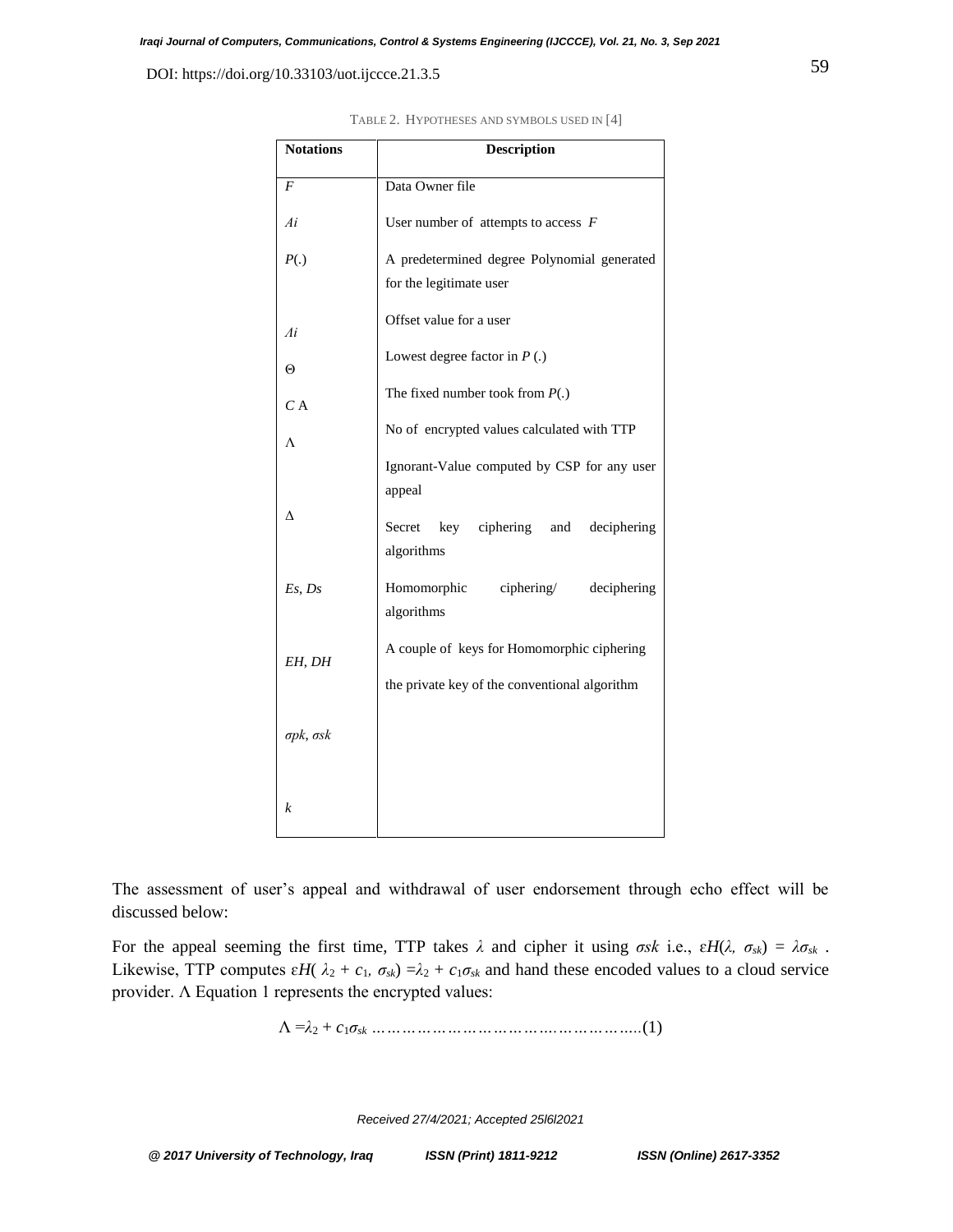| <b>Notations</b>         | <b>Description</b>                                                     |  |  |
|--------------------------|------------------------------------------------------------------------|--|--|
|                          |                                                                        |  |  |
| F                        | Data Owner file                                                        |  |  |
| Ai                       | User number of attempts to access $F$                                  |  |  |
| P(.)                     | A predetermined degree Polynomial generated<br>for the legitimate user |  |  |
| Аi                       | Offset value for a user                                                |  |  |
| $\Theta$                 | Lowest degree factor in $P(.)$                                         |  |  |
| C A                      | The fixed number took from $P(.)$                                      |  |  |
| Λ                        | No of encrypted values calculated with TTP                             |  |  |
|                          | Ignorant-Value computed by CSP for any user<br>appeal                  |  |  |
| Δ                        | key ciphering and<br>deciphering<br>Secret<br>algorithms               |  |  |
| Es, Ds                   | Homomorphic<br>ciphers/<br>deciphering<br>algorithms                   |  |  |
| EH, DH                   | A couple of keys for Homomorphic ciphering                             |  |  |
| $\sigma$ pk, $\sigma$ sk | the private key of the conventional algorithm                          |  |  |
|                          |                                                                        |  |  |
| k                        |                                                                        |  |  |

TABLE 2. HYPOTHESES AND SYMBOLS USED IN [4]

The assessment of user's appeal and withdrawal of user endorsement through echo effect will be discussed below:

For the appeal seeming the first time, TTP takes  $\lambda$  and cipher it using  $\sigma s k$  i.e.,  $\epsilon H(\lambda, \sigma_{sk}) = \lambda \sigma_{sk}$ . Likewise, TTP computes  $\varepsilon H(\lambda_2 + c_1, \sigma_{sk}) = \lambda_2 + c_1 \sigma_{sk}$  and hand these encoded values to a cloud service provider. Λ Equation 1 represents the encrypted values:

Λ =*λ*<sup>2</sup> + *c*1*σsk ……………………………….……………..*(1)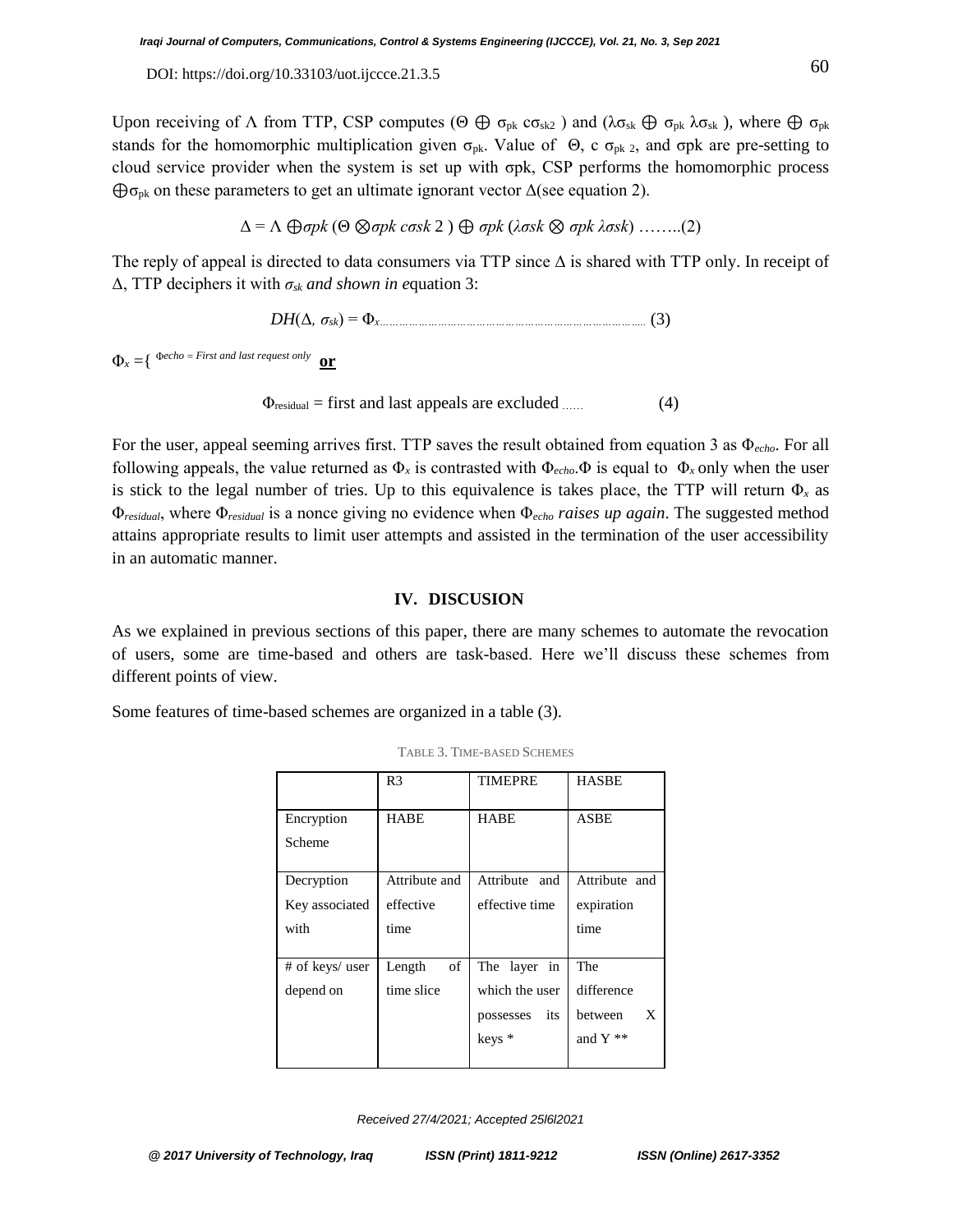Upon receiving of  $\Lambda$  from TTP, CSP computes (Θ  $\oplus \sigma_{pk}$   $\sigma_{sk2}$ ) and ( $\lambda \sigma_{sk} \oplus \sigma_{pk}$   $\lambda \sigma_{sk}$ ), where  $\oplus \sigma_{pk}$ stands for the homomorphic multiplication given  $\sigma_{pk}$ . Value of  $\Theta$ , c  $\sigma_{pk}$  2, and  $\sigma pk$  are pre-setting to cloud service provider when the system is set up with σpk, CSP performs the homomorphic process  $\bigoplus$ σ<sub>pk</sub> on these parameters to get an ultimate ignorant vector  $\Delta$ (see equation 2).

$$
\Delta = \Lambda \bigoplus \sigma pk \ (\Theta \otimes \sigma pk \ cosk 2 \ ) \bigoplus \sigma pk \ (\lambda \sigma sk \otimes \sigma pk \ \lambda \sigma sk \ ) \ \ldots \ldots \ (2)
$$

The reply of appeal is directed to data consumers via TTP since Δ is shared with TTP only. In receipt of Δ, TTP deciphers it with *σsk and shown in e*quation 3:

*DH*(Δ*, σsk*) = Φ*x………………………………………………………………………..* (3)

 $\Phi_r = \{ \Phi$ *echo* = *First and last request only* **or**

$$
\Phi_{\text{residual}} = \text{first and last appeals are excluded} \tag{4}
$$

For the user, appeal seeming arrives first. TTP saves the result obtained from equation 3 as Φ*echo*. For all following appeals, the value returned as  $\Phi_x$  is contrasted with  $\Phi_{echo}$ . $\Phi$  is equal to  $\Phi_x$  only when the user is stick to the legal number of tries. Up to this equivalence is takes place, the TTP will return  $\Phi_x$  as Φ*residual*, where Φ*residual* is a nonce giving no evidence when Φ*echo raises up again*. The suggested method attains appropriate results to limit user attempts and assisted in the termination of the user accessibility in an automatic manner.

#### **IV. DISCUSION**

As we explained in previous sections of this paper, there are many schemes to automate the revocation of users, some are time-based and others are task-based. Here we'll discuss these schemes from different points of view.

Some features of time-based schemes are organized in a table (3).

|                 | R3            | TIMEPRE          | <b>HASBE</b>  |
|-----------------|---------------|------------------|---------------|
| Encryption      | <b>HABE</b>   | <b>HABE</b>      | ASBE          |
| Scheme          |               |                  |               |
| Decryption      | Attribute and | Attribute and    | Attribute and |
| Key associated  | effective     | effective time   | expiration    |
|                 |               |                  |               |
| with            | time          |                  | time          |
|                 |               |                  |               |
| # of keys/ user | Length<br>of  | in<br>The layer  | The           |
| depend on       | time slice    | which the user   | difference    |
|                 |               | its<br>possesses | X<br>between  |
|                 |               | $k$ eys $*$      | and Y **      |

TABLE 3. TIME-BASED SCHEMES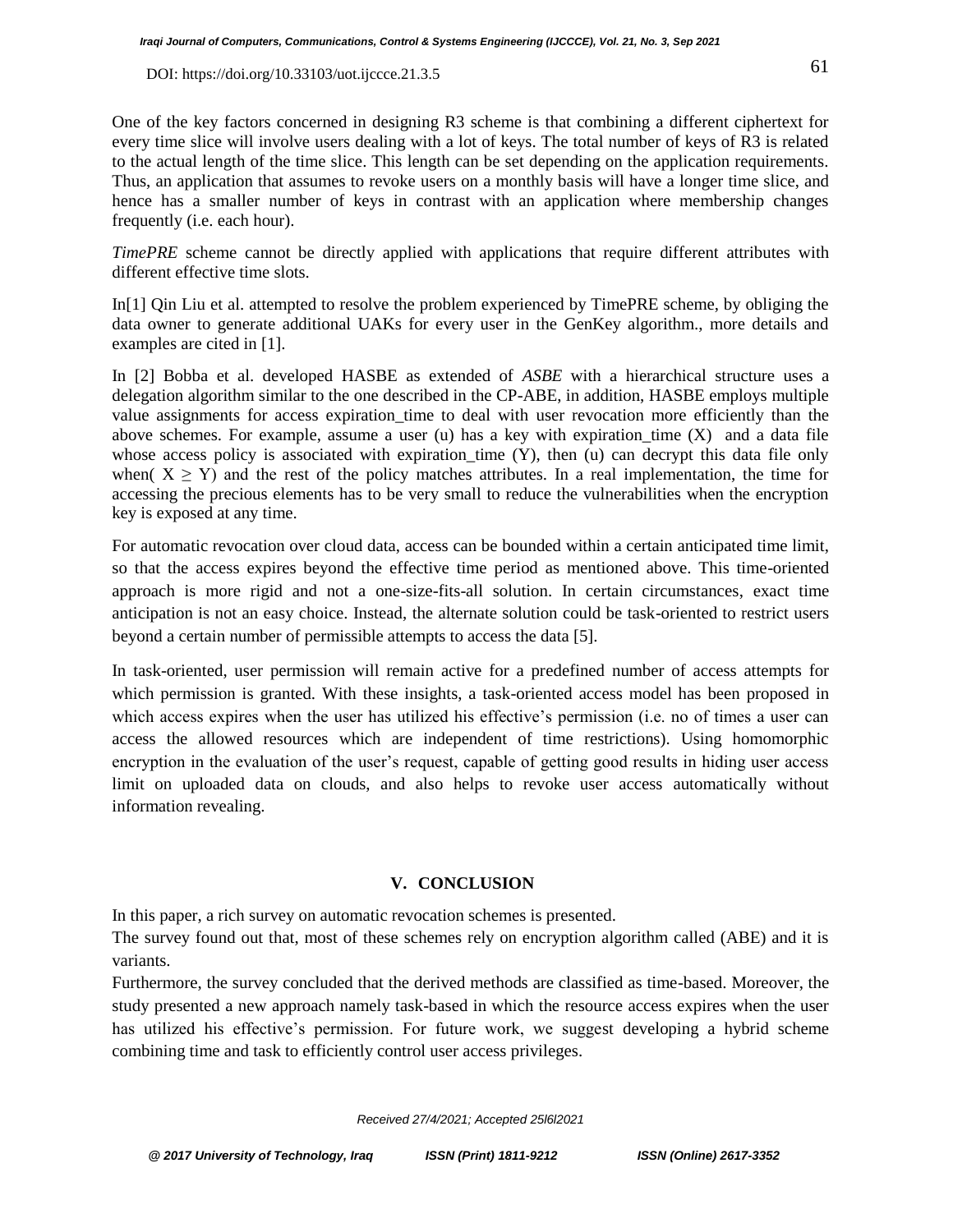One of the key factors concerned in designing R3 scheme is that combining a different ciphertext for every time slice will involve users dealing with a lot of keys. The total number of keys of R3 is related to the actual length of the time slice. This length can be set depending on the application requirements. Thus, an application that assumes to revoke users on a monthly basis will have a longer time slice, and hence has a smaller number of keys in contrast with an application where membership changes frequently (i.e. each hour).

*TimePRE* scheme cannot be directly applied with applications that require different attributes with different effective time slots.

In[1] Qin Liu et al. attempted to resolve the problem experienced by TimePRE scheme, by obliging the data owner to generate additional UAKs for every user in the GenKey algorithm., more details and examples are cited in [1].

In [2] Bobba et al. developed HASBE as extended of *ASBE* with a hierarchical structure uses a delegation algorithm similar to the one described in the CP-ABE, in addition, HASBE employs multiple value assignments for access expiration\_time to deal with user revocation more efficiently than the above schemes. For example, assume a user (u) has a key with expiration\_time  $(X)$  and a data file whose access policy is associated with expiration\_time (Y), then (u) can decrypt this data file only when(  $X \ge Y$ ) and the rest of the policy matches attributes. In a real implementation, the time for accessing the precious elements has to be very small to reduce the vulnerabilities when the encryption key is exposed at any time.

For automatic revocation over cloud data, access can be bounded within a certain anticipated time limit, so that the access expires beyond the effective time period as mentioned above. This time-oriented approach is more rigid and not a one-size-fits-all solution. In certain circumstances, exact time anticipation is not an easy choice. Instead, the alternate solution could be task-oriented to restrict users beyond a certain number of permissible attempts to access the data [5].

In task-oriented, user permission will remain active for a predefined number of access attempts for which permission is granted. With these insights, a task-oriented access model has been proposed in which access expires when the user has utilized his effective's permission (i.e. no of times a user can access the allowed resources which are independent of time restrictions). Using homomorphic encryption in the evaluation of the user's request, capable of getting good results in hiding user access limit on uploaded data on clouds, and also helps to revoke user access automatically without information revealing.

## **V. CONCLUSION**

In this paper, a rich survey on automatic revocation schemes is presented.

The survey found out that, most of these schemes rely on encryption algorithm called (ABE) and it is variants.

Furthermore, the survey concluded that the derived methods are classified as time-based. Moreover, the study presented a new approach namely task-based in which the resource access expires when the user has utilized his effective's permission. For future work, we suggest developing a hybrid scheme combining time and task to efficiently control user access privileges.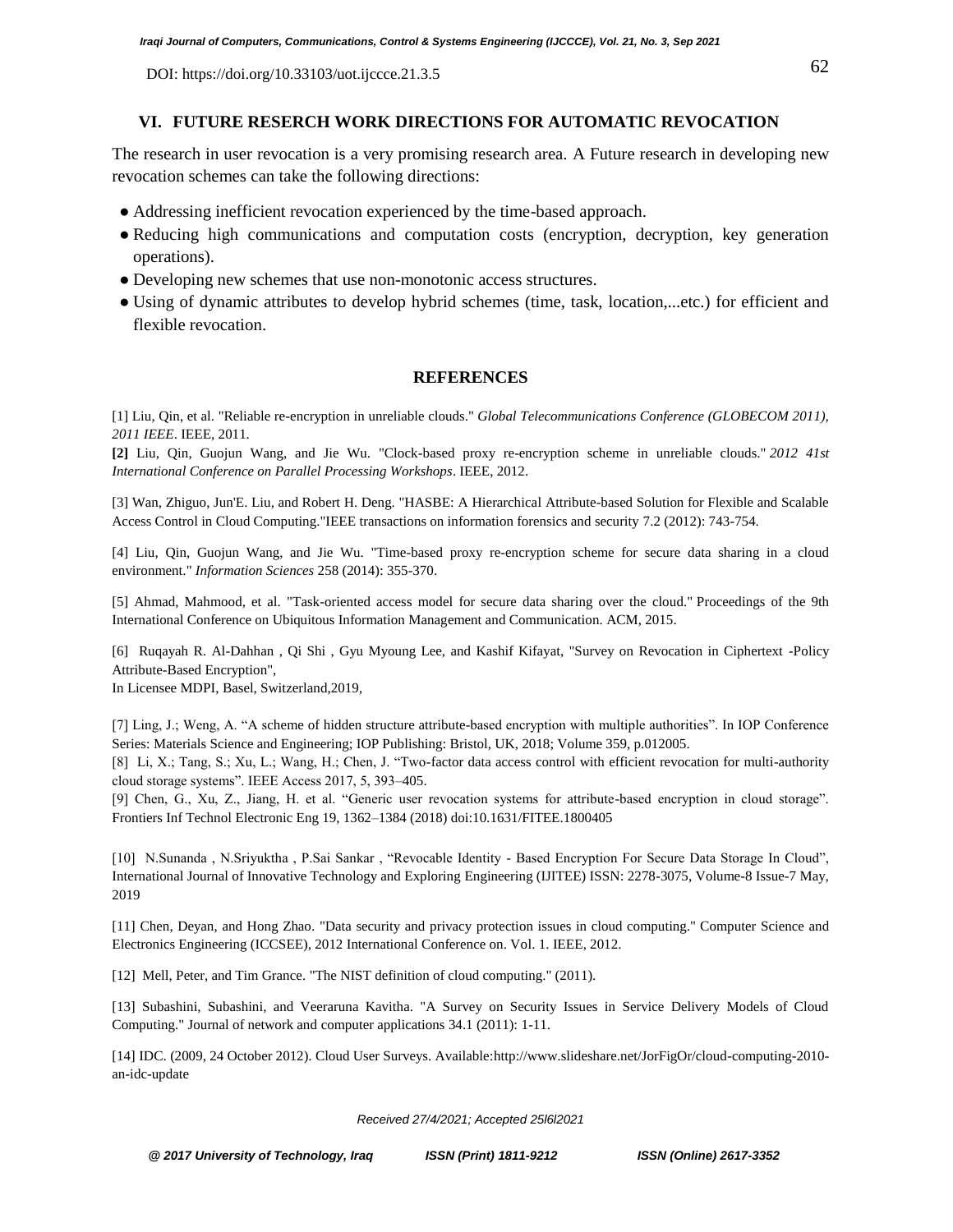## **VI. FUTURE RESERCH WORK DIRECTIONS FOR AUTOMATIC REVOCATION**

The research in user revocation is a very promising research area. A Future research in developing new revocation schemes can take the following directions:

- Addressing inefficient revocation experienced by the time-based approach.
- Reducing high communications and computation costs (encryption, decryption, key generation operations).
- Developing new schemes that use non-monotonic access structures.
- Using of dynamic attributes to develop hybrid schemes (time, task, location,...etc.) for efficient and flexible revocation.

# **REFERENCES**

[1] Liu, Qin, et al. "Reliable re-encryption in unreliable clouds." *Global Telecommunications Conference (GLOBECOM 2011), 2011 IEEE*. IEEE, 2011.

**[2]** Liu, Qin, Guojun Wang, and Jie Wu. "Clock-based proxy re-encryption scheme in unreliable clouds." *2012 41st International Conference on Parallel Processing Workshops*. IEEE, 2012.

[3] Wan, Zhiguo, Jun'E. Liu, and Robert H. Deng. "HASBE: A Hierarchical Attribute-based Solution for Flexible and Scalable Access Control in Cloud Computing."IEEE transactions on information forensics and security 7.2 (2012): 743-754.

[4] Liu, Qin, Guojun Wang, and Jie Wu. "Time-based proxy re-encryption scheme for secure data sharing in a cloud environment." *Information Sciences* 258 (2014): 355-370.

[5] Ahmad, Mahmood, et al. "Task-oriented access model for secure data sharing over the cloud." Proceedings of the 9th International Conference on Ubiquitous Information Management and Communication. ACM, 2015.

[6] Ruqayah R. Al-Dahhan , Qi Shi , Gyu Myoung Lee, and Kashif Kifayat, "Survey on Revocation in Ciphertext -Policy Attribute-Based Encryption",

In Licensee MDPI, Basel, Switzerland,2019,

[7] Ling, J.; Weng, A. "A scheme of hidden structure attribute-based encryption with multiple authorities". In IOP Conference Series: Materials Science and Engineering; IOP Publishing: Bristol, UK, 2018; Volume 359, p.012005.

[8] Li, X.; Tang, S.; Xu, L.; Wang, H.; Chen, J. "Two-factor data access control with efficient revocation for multi-authority cloud storage systems". IEEE Access 2017, 5, 393–405.

[9] Chen, G., Xu, Z., Jiang, H. et al. "Generic user revocation systems for attribute-based encryption in cloud storage". Frontiers Inf Technol Electronic Eng 19, 1362–1384 (2018) doi:10.1631/FITEE.1800405

[10] N.Sunanda , N.Sriyuktha , P.Sai Sankar , "Revocable Identity - Based Encryption For Secure Data Storage In Cloud", International Journal of Innovative Technology and Exploring Engineering (IJITEE) ISSN: 2278-3075, Volume-8 Issue-7 May, 2019

[11] Chen, Deyan, and Hong Zhao. "Data security and privacy protection issues in cloud computing." Computer Science and Electronics Engineering (ICCSEE), 2012 International Conference on. Vol. 1. IEEE, 2012.

[12] Mell, Peter, and Tim Grance. "The NIST definition of cloud computing." (2011).

[13] Subashini, Subashini, and Veeraruna Kavitha. "A Survey on Security Issues in Service Delivery Models of Cloud Computing." Journal of network and computer applications 34.1 (2011): 1-11.

[14] IDC. (2009, 24 October 2012). Cloud User Surveys. Available[:http://www.slideshare.net/JorFigOr/cloud-computing-2010](http://www.slideshare.net/JorFigOr/cloud-computing-2010-an-idc-update) [an-idc-update](http://www.slideshare.net/JorFigOr/cloud-computing-2010-an-idc-update)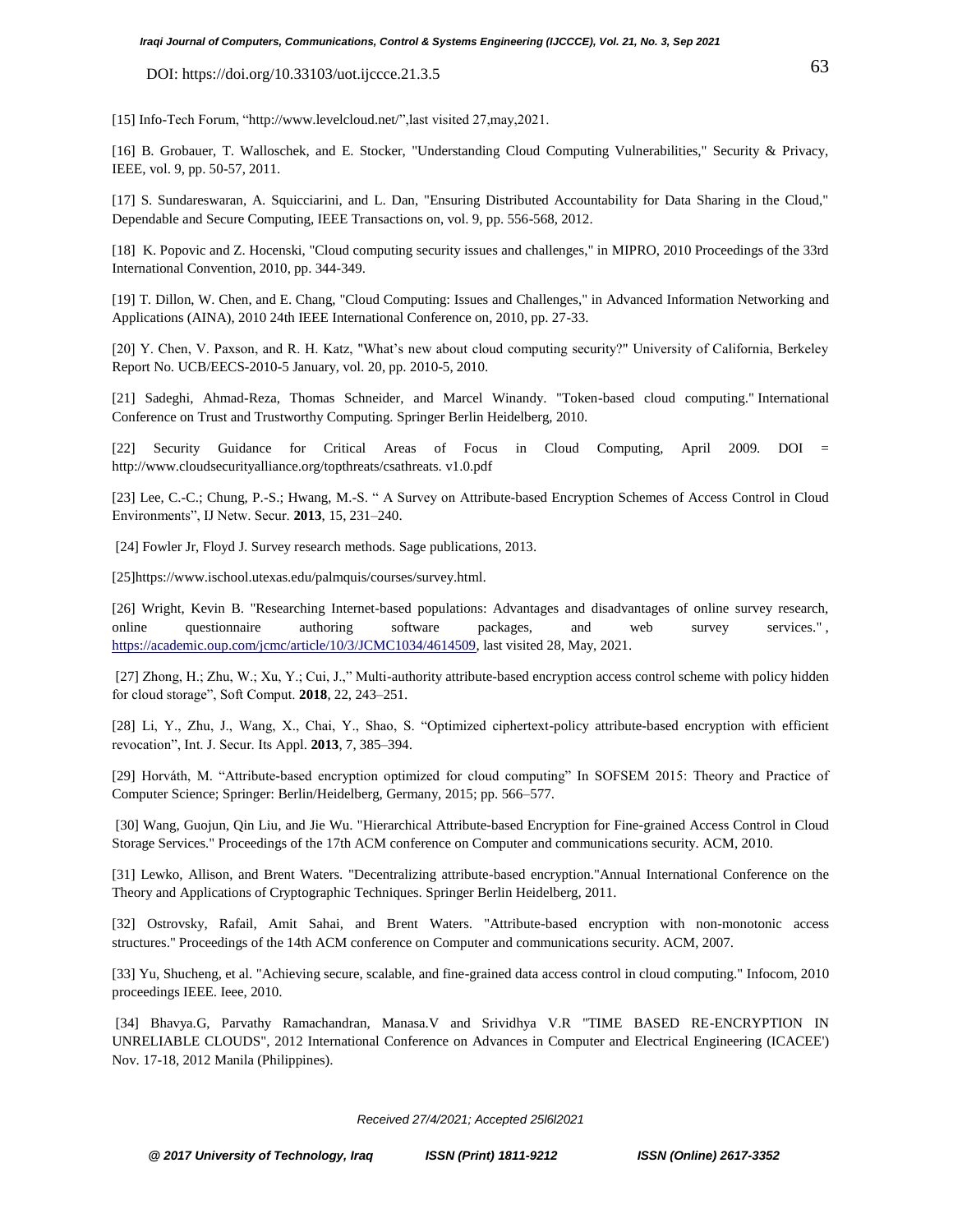[15] Info-Tech Forum, ["http://www.levelcloud.net/"](http://www.levelcloud.net/),last visited 27,may,2021.

[16] B. Grobauer, T. Walloschek, and E. Stocker, "Understanding Cloud Computing Vulnerabilities," Security & Privacy, IEEE, vol. 9, pp. 50-57, 2011.

[17] S. Sundareswaran, A. Squicciarini, and L. Dan, "Ensuring Distributed Accountability for Data Sharing in the Cloud," Dependable and Secure Computing, IEEE Transactions on, vol. 9, pp. 556-568, 2012.

[18] K. Popovic and Z. Hocenski, "Cloud computing security issues and challenges," in MIPRO, 2010 Proceedings of the 33rd International Convention, 2010, pp. 344-349.

[19] T. Dillon, W. Chen, and E. Chang, "Cloud Computing: Issues and Challenges," in Advanced Information Networking and Applications (AINA), 2010 24th IEEE International Conference on, 2010, pp. 27-33.

[20] Y. Chen, V. Paxson, and R. H. Katz, "What's new about cloud computing security?" University of California, Berkeley Report No. UCB/EECS-2010-5 January, vol. 20, pp. 2010-5, 2010.

[21] Sadeghi, Ahmad-Reza, Thomas Schneider, and Marcel Winandy. "Token-based cloud computing." International Conference on Trust and Trustworthy Computing. Springer Berlin Heidelberg, 2010.

[22] Security Guidance for Critical Areas of Focus in Cloud Computing, April 2009. DOI = [http://www.cloudsecurityalliance.org/topthreats/csathreats. v1.0.pdf](http://www.cloudsecurityalliance.org/topthreats/csathreats.%20v1.0.pdf)

[23] Lee, C.-C.; Chung, P.-S.; Hwang, M.-S. " A Survey on Attribute-based Encryption Schemes of Access Control in Cloud Environments", IJ Netw. Secur. **2013**, 15, 231–240.

[24] Fowler Jr, Floyd J. Survey research methods. Sage publications, 2013.

[25]https://www.ischool.utexas.edu/palmquis/courses/survey.html.

[26] Wright, Kevin B. "Researching Internet-based populations: Advantages and disadvantages of online survey research, online questionnaire authoring software packages, and web survey services.", [https://academic.oup.com/jcmc/article/10/3/JCMC1034/4614509,](https://academic.oup.com/jcmc/article/10/3/JCMC1034/4614509) last visited 28, May, 2021.

[27] Zhong, H.; Zhu, W.; Xu, Y.; Cui, J.," Multi-authority attribute-based encryption access control scheme with policy hidden for cloud storage", Soft Comput. **2018**, 22, 243–251.

[28] Li, Y., Zhu, J., Wang, X., Chai, Y., Shao, S. "Optimized ciphertext-policy attribute-based encryption with efficient revocation", Int. J. Secur. Its Appl. **2013**, 7, 385–394.

[29] Horváth, M. "Attribute-based encryption optimized for cloud computing" In SOFSEM 2015: Theory and Practice of Computer Science; Springer: Berlin/Heidelberg, Germany, 2015; pp. 566–577.

[30] Wang, Guojun, Qin Liu, and Jie Wu. "Hierarchical Attribute-based Encryption for Fine-grained Access Control in Cloud Storage Services." Proceedings of the 17th ACM conference on Computer and communications security. ACM, 2010.

[31] Lewko, Allison, and Brent Waters. "Decentralizing attribute-based encryption."Annual International Conference on the Theory and Applications of Cryptographic Techniques. Springer Berlin Heidelberg, 2011.

[32] Ostrovsky, Rafail, Amit Sahai, and Brent Waters. "Attribute-based encryption with non-monotonic access structures." Proceedings of the 14th ACM conference on Computer and communications security. ACM, 2007.

[33] Yu, Shucheng, et al. "Achieving secure, scalable, and fine-grained data access control in cloud computing." Infocom, 2010 proceedings IEEE. Ieee, 2010.

[34] Bhavya.G, Parvathy Ramachandran, Manasa.V and Srividhya V.R "TIME BASED RE-ENCRYPTION IN UNRELIABLE CLOUDS", 2012 International Conference on Advances in Computer and Electrical Engineering (ICACEE') Nov. 17-18, 2012 Manila (Philippines).